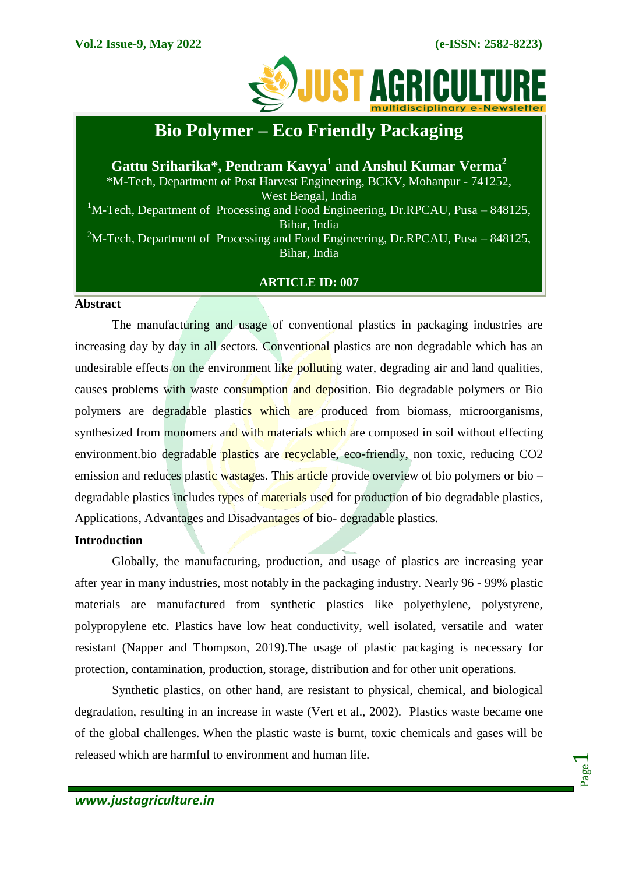Page  $\overline{\phantom{0}}$ 



# **Bio Polymer – Eco Friendly Packaging**

**Gattu Sriharika\*, Pendram Kavya<sup>1</sup> and Anshul Kumar Verma<sup>2</sup>** \*M-Tech, Department of Post Harvest Engineering, BCKV, Mohanpur - 741252, West Bengal, India <sup>1</sup>M-Tech, Department of Processing and Food Engineering, Dr.RPCAU, Pusa – 848125, Bihar, India <sup>2</sup>M-Tech, Department of Processing and Food Engineering, Dr.RPCAU, Pusa – 848125, Bihar, India

## **ARTICLE ID: 007**

#### **Abstract**

The manufacturing and usage of conventional plastics in packaging industries are increasing day by day in all sectors. Conventional plastics are non degradable which has an undesirable effects on the environment like polluting water, degrading air and land qualities, causes problems with waste consumption and deposition. Bio degradable polymers or Bio polymers are degradable plastics which are produced from biomass, microorganisms, synthesized from monomers and with materials which are composed in soil without effecting environment.bio degradable plastics are recyclable, eco-friendly, non toxic, reducing CO2 emission and reduces plastic wastages. This article provide overview of bio polymers or bio – degradable plastics includes types of materials used for production of bio degradable plastics, Applications, Advantages and Disadvantages of bio- degradable plastics.

## **Introduction**

Globally, the manufacturing, production, and usage of plastics are increasing year after year in many industries, most notably in the packaging industry. Nearly 96 - 99% plastic materials are manufactured from synthetic plastics like polyethylene, polystyrene, polypropylene etc. Plastics have low heat conductivity, well isolated, versatile and water resistant (Napper and Thompson, 2019).The usage of plastic packaging is necessary for protection, contamination, production, storage, distribution and for other unit operations.

Synthetic plastics, on other hand, are resistant to physical, chemical, and biological degradation, resulting in an increase in waste (Vert et al., 2002). Plastics waste became one of the global challenges. When the plastic waste is burnt, toxic chemicals and gases will be released which are harmful to environment and human life.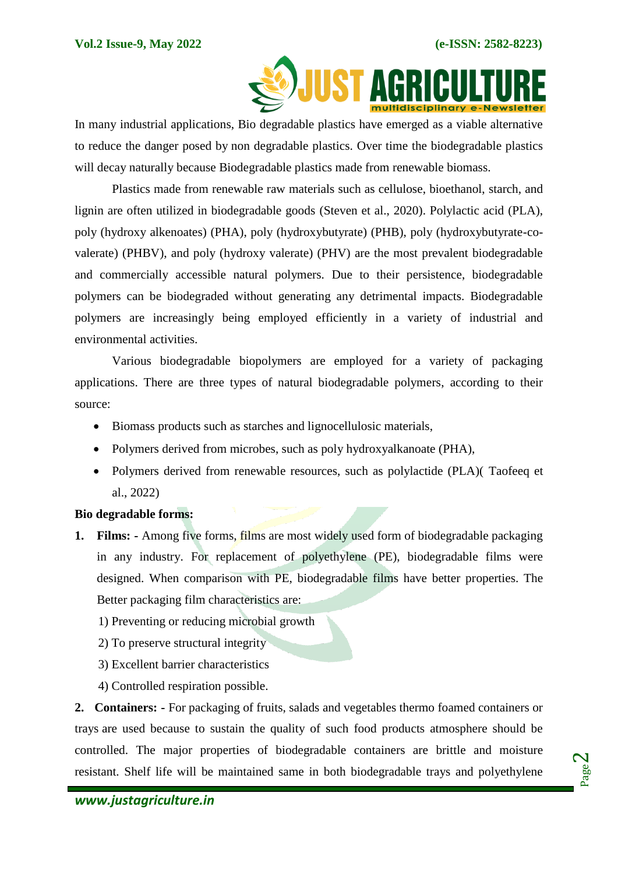

 In many industrial applications, Bio degradable plastics have emerged as a viable alternative to reduce the danger posed by non degradable plastics. Over time the biodegradable plastics will decay naturally because Biodegradable plastics made from renewable biomass.

Plastics made from renewable raw materials such as cellulose, bioethanol, starch, and lignin are often utilized in biodegradable goods (Steven et al., 2020). Polylactic acid (PLA), poly (hydroxy alkenoates) (PHA), poly (hydroxybutyrate) (PHB), poly (hydroxybutyrate-covalerate) (PHBV), and poly (hydroxy valerate) (PHV) are the most prevalent biodegradable and commercially accessible natural polymers. Due to their persistence, biodegradable polymers can be biodegraded without generating any detrimental impacts. Biodegradable polymers are increasingly being employed efficiently in a variety of industrial and environmental activities.

Various biodegradable biopolymers are employed for a variety of packaging applications. There are three types of natural biodegradable polymers, according to their source:

- Biomass products such as starches and lignocellulosic materials,
- Polymers derived from microbes, such as poly hydroxyalkanoate (PHA),
- Polymers derived from renewable resources, such as polylactide (PLA)( Taofeeq et al., 2022)

## **Bio degradable forms:**

- **1. Films: -** Among five forms, films are most widely used form of biodegradable packaging in any industry. For replacement of polyethylene (PE), biodegradable films were designed. When comparison with PE, biodegradable films have better properties. The Better packaging film characteristics are:
	- 1) Preventing or reducing microbial growth
	- 2) To preserve structural integrity
	- 3) Excellent barrier characteristics
	- 4) Controlled respiration possible.

**2. Containers: -** For packaging of fruits, salads and vegetables thermo foamed containers or trays are used because to sustain the quality of such food products atmosphere should be controlled. The major properties of biodegradable containers are brittle and moisture resistant. Shelf life will be maintained same in both biodegradable trays and polyethylene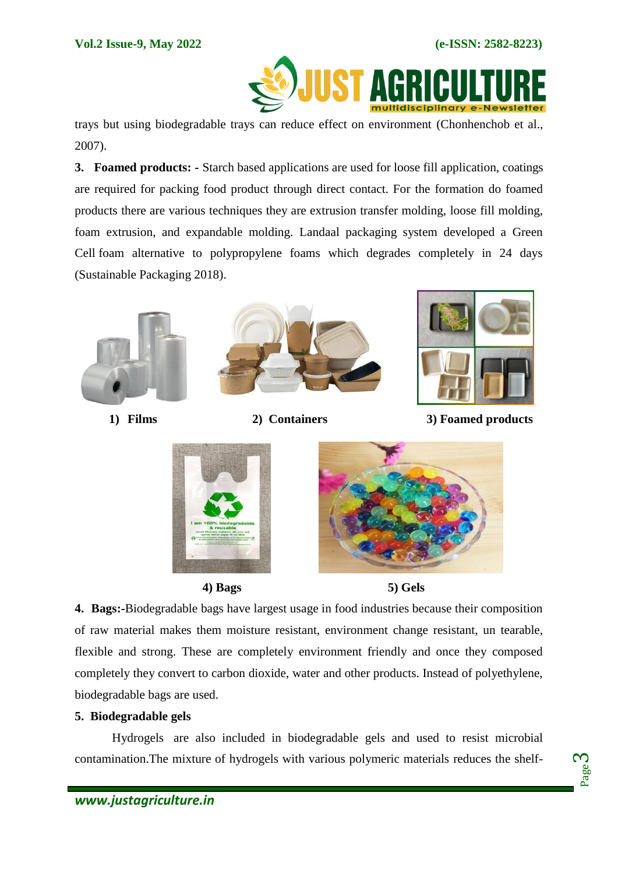

trays but using biodegradable trays can reduce effect on environment (Chonhenchob et al., 2007).

**3. Foamed products: -** Starch based applications are used for loose fill application, coatings are required for packing food product through direct contact. For the formation do foamed products there are various techniques they are extrusion transfer molding, loose fill molding, foam extrusion, and expandable molding. Landaal packaging system developed a Green Cell foam alternative to polypropylene foams which degrades completely in 24 days (Sustainable Packaging 2018).







 **4) Bags 5) Gels**

**4. Bags:-**Biodegradable bags have largest usage in food industries because their composition of raw material makes them moisture resistant, environment change resistant, un tearable, flexible and strong. These are completely environment friendly and once they composed completely they convert to carbon dioxide, water and other products. Instead of polyethylene, biodegradable bags are used.

## **5. Biodegradable gels**

Hydrogels are also included in biodegradable gels and used to resist microbial contamination.The mixture of hydrogels with various polymeric materials reduces the shelf-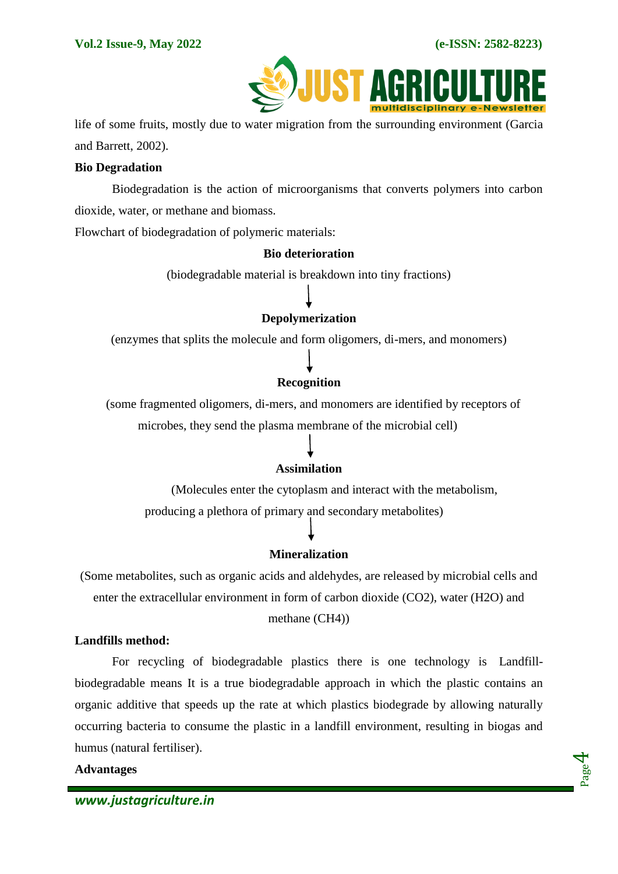

 life of some fruits, mostly due to water migration from the surrounding environment (Garcia and Barrett, 2002).

## **Bio Degradation**

Biodegradation is the action of microorganisms that converts polymers into carbon dioxide, water, or methane and biomass.

Flowchart of biodegradation of polymeric materials:

#### **Bio deterioration**

(biodegradable material is breakdown into tiny fractions)

## **Depolymerization**

(enzymes that splits the molecule and form oligomers, di-mers, and monomers)

## **Recognition**

 (some fragmented oligomers, di-mers, and monomers are identified by receptors of microbes, they send the plasma membrane of the microbial cell)

## **Assimilation**

 (Molecules enter the cytoplasm and interact with the metabolism, producing a plethora of primary and secondary metabolites)

## **Mineralization**

(Some metabolites, such as organic acids and aldehydes, are released by microbial cells and enter the extracellular environment in form of carbon dioxide (CO2), water (H2O) and

## methane (CH4))

#### **Landfills method:**

For recycling of biodegradable plastics there is one technology is Landfillbiodegradable means It is a true biodegradable approach in which the plastic contains an organic additive that speeds up the rate at which plastics biodegrade by allowing naturally occurring bacteria to consume the plastic in a landfill environment, resulting in biogas and humus (natural fertiliser).

#### **Advantages**

Page 4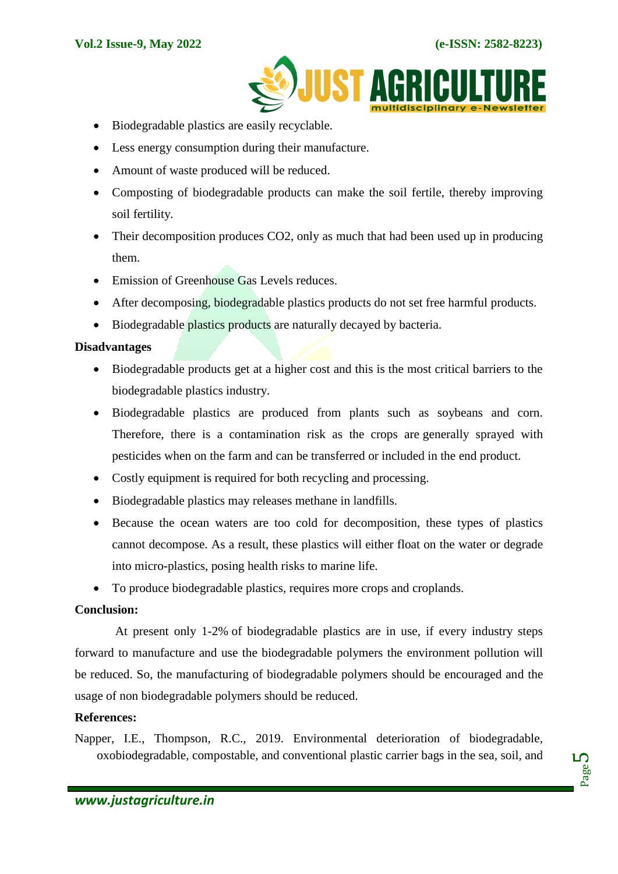

- Biodegradable plastics are easily recyclable.
- Less energy consumption during their manufacture.
- Amount of waste produced will be reduced.
- Composting of biodegradable products can make the soil fertile, thereby improving soil fertility.
- Their decomposition produces CO2, only as much that had been used up in producing them.
- Emission of Greenhouse Gas Levels reduces.
- After decomposing, biodegradable plastics products do not set free harmful products.
- Biodegradable plastics products are naturally decayed by bacteria.

#### **Disadvantages**

- Biodegradable products get at a higher cost and this is the most critical barriers to the biodegradable plastics industry.
- Biodegradable plastics are produced from plants such as soybeans and corn. Therefore, there is a contamination risk as the crops are generally sprayed with pesticides when on the farm and can be transferred or included in the end product.
- Costly equipment is required for both recycling and processing.
- Biodegradable plastics may releases methane in landfills.
- Because the ocean waters are too cold for decomposition, these types of plastics cannot decompose. As a result, these plastics will either float on the water or degrade into micro-plastics, posing health risks to marine life.
- To produce biodegradable plastics, requires more crops and croplands.

## **Conclusion:**

At present only 1-2% of biodegradable plastics are in use, if every industry steps forward to manufacture and use the biodegradable polymers the environment pollution will be reduced. So, the manufacturing of biodegradable polymers should be encouraged and the usage of non biodegradable polymers should be reduced.

#### **References:**

Napper, I.E., Thompson, R.C., 2019. Environmental deterioration of biodegradable, oxobiodegradable, compostable, and conventional plastic carrier bags in the sea, soil, and